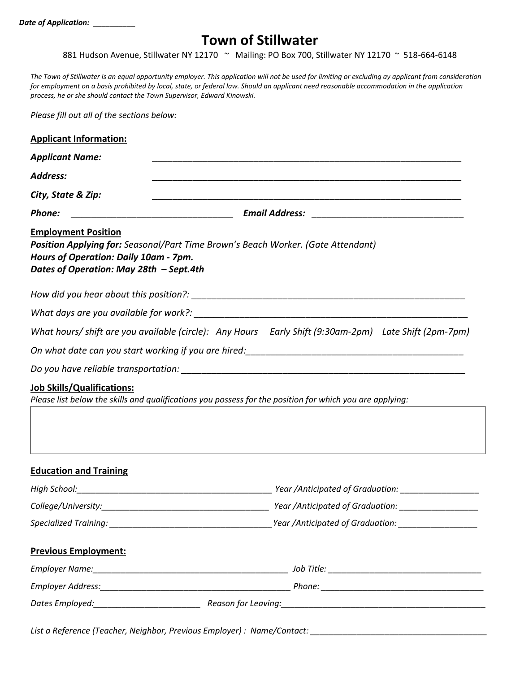## **Town of Stillwater**

881 Hudson Avenue, Stillwater NY 12170 ~ Mailing: PO Box 700, Stillwater NY 12170 ~ 518-664-6148

*The Town of Stillwater is an equal opportunity employer. This application will not be used for limiting or excluding ay applicant from consideration for employment on a basis prohibited by local, state, or federal law. Should an applicant need reasonable accommodation in the application process, he or she should contact the Town Supervisor, Edward Kinowski.*

*Please fill out all of the sections below:*

| <b>Applicant Name:</b>                                                                                                                                                                                    |                                                                                                      |  |
|-----------------------------------------------------------------------------------------------------------------------------------------------------------------------------------------------------------|------------------------------------------------------------------------------------------------------|--|
| <b>Address:</b>                                                                                                                                                                                           |                                                                                                      |  |
| City, State & Zip:                                                                                                                                                                                        |                                                                                                      |  |
| Phone:                                                                                                                                                                                                    |                                                                                                      |  |
| <b>Employment Position</b><br><b>Position Applying for:</b> Seasonal/Part Time Brown's Beach Worker. (Gate Attendant)<br>Hours of Operation: Daily 10am - 7pm.<br>Dates of Operation: May 28th - Sept.4th |                                                                                                      |  |
|                                                                                                                                                                                                           |                                                                                                      |  |
|                                                                                                                                                                                                           |                                                                                                      |  |
|                                                                                                                                                                                                           | What hours/shift are you available (circle): Any Hours Early Shift (9:30am-2pm) Late Shift (2pm-7pm) |  |
|                                                                                                                                                                                                           |                                                                                                      |  |
|                                                                                                                                                                                                           |                                                                                                      |  |
| <b>Job Skills/Qualifications:</b><br>Please list below the skills and qualifications you possess for the position for which you are applying:                                                             |                                                                                                      |  |
| <b>Education and Training</b>                                                                                                                                                                             |                                                                                                      |  |
|                                                                                                                                                                                                           |                                                                                                      |  |
| College/University:                                                                                                                                                                                       | Year / Anticipated of Graduation:                                                                    |  |
|                                                                                                                                                                                                           |                                                                                                      |  |
| <b>Previous Employment:</b>                                                                                                                                                                               |                                                                                                      |  |
|                                                                                                                                                                                                           |                                                                                                      |  |
|                                                                                                                                                                                                           |                                                                                                      |  |
|                                                                                                                                                                                                           |                                                                                                      |  |

*List a Reference (Teacher, Neighbor, Previous Employer) : Name/Contact: \_\_\_\_\_\_\_\_\_\_\_\_\_\_\_\_\_\_\_\_\_\_\_\_\_\_\_\_\_\_\_\_\_\_\_\_\_\_*